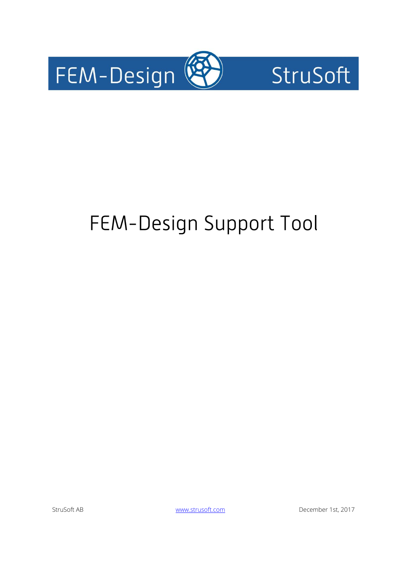



# FEM-Design Support Tool

StruSoft AB [www.strusoft.com](http://www.strusoft.com/) December 1st, 2017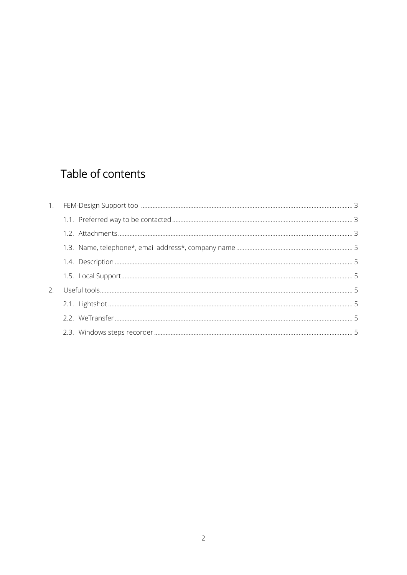# Table of contents

| 2. |  |
|----|--|
|    |  |
|    |  |
|    |  |
|    |  |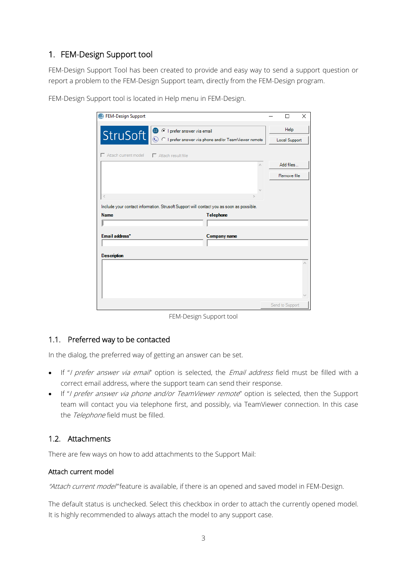# <span id="page-2-0"></span>1. FEM-Design Support tool

FEM-Design Support Tool has been created to provide and easy way to send a support question or report a problem to the FEM-Design Support team, directly from the FEM-Design program.

| <sup><sup>®</sup> FEM-Design Support</sup>                                               | п                    | $\times$ |
|------------------------------------------------------------------------------------------|----------------------|----------|
| <b>8</b> C I prefer answer via email                                                     | Help                 |          |
| StruSoft<br>© C I prefer answer via phone and/or TeamViewer remote                       | <b>Local Support</b> |          |
| $\Box$ Attach current model<br>$\Box$ Attach result file                                 |                      |          |
|                                                                                          | Add files            |          |
|                                                                                          | Remove file          |          |
|                                                                                          |                      |          |
| ∢                                                                                        |                      |          |
|                                                                                          |                      |          |
| Include your contact information. Strusoft Support will contact you as soon as possible. |                      |          |
| <b>Name</b><br><b>Telephone</b>                                                          |                      |          |
|                                                                                          |                      |          |
| Email address*<br>Company name                                                           |                      |          |
|                                                                                          |                      |          |
| <b>Description</b>                                                                       |                      |          |
|                                                                                          |                      |          |
|                                                                                          |                      |          |
|                                                                                          |                      |          |
|                                                                                          |                      |          |

FEM-Design Support tool is located in Help menu in FEM-Design.

FEM-Design Support tool

# <span id="page-2-1"></span>1.1. Preferred way to be contacted

In the dialog, the preferred way of getting an answer can be set.

- If "I prefer answer via email" option is selected, the Email address field must be filled with a correct email address, where the support team can send their response.
- If "I prefer answer via phone and/or TeamViewer remote" option is selected, then the Support team will contact you via telephone first, and possibly, via TeamViewer connection. In this case the Telephone field must be filled.

# <span id="page-2-2"></span>1.2. Attachments

There are few ways on how to add attachments to the Support Mail:

#### Attach current model

"Attach current model" feature is available, if there is an opened and saved model in FEM-Design.

The default status is unchecked. Select this checkbox in order to attach the currently opened model. It is highly recommended to always attach the model to any support case.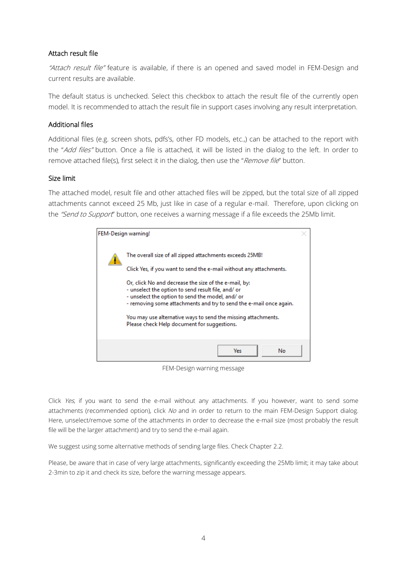#### Attach result file

"Attach result file" feature is available, if there is an opened and saved model in FEM-Design and current results are available.

The default status is unchecked. Select this checkbox to attach the result file of the currently open model. It is recommended to attach the result file in support cases involving any result interpretation.

#### Additional files

Additional files (e.g. screen shots, pdfs's, other FD models, etc.,) can be attached to the report with the "Add files" button. Once a file is attached, it will be listed in the dialog to the left. In order to remove attached file(s), first select it in the dialog, then use the "Remove file" button.

#### Size limit

The attached model, result file and other attached files will be zipped, but the total size of all zipped attachments cannot exceed 25 Mb, just like in case of a regular e-mail. Therefore, upon clicking on the "Send to Support" button, one receives a warning message if a file exceeds the 25Mb limit.

| FEM-Design warning!                                                                                                                                                                                                                                                                                                                                                                                                                                                                     |  |
|-----------------------------------------------------------------------------------------------------------------------------------------------------------------------------------------------------------------------------------------------------------------------------------------------------------------------------------------------------------------------------------------------------------------------------------------------------------------------------------------|--|
| The overall size of all zipped attachments exceeds 25MB!<br>Click Yes, if you want to send the e-mail without any attachments.<br>Or, click No and decrease the size of the e-mail, by:<br>- unselect the option to send result file, and/ or<br>- unselect the option to send the model, and/ or<br>- removing some attachments and try to send the e-mail once again.<br>You may use alternative ways to send the missing attachments.<br>Please check Help document for suggestions. |  |
| Yes:<br>No.                                                                                                                                                                                                                                                                                                                                                                                                                                                                             |  |

FEM-Design warning message

Click Yes, if you want to send the e-mail without any attachments. If you however, want to send some attachments (recommended option), click No and in order to return to the main FEM-Design Support dialog. Here, unselect/remove some of the attachments in order to decrease the e-mail size (most probably the result file will be the larger attachment) and try to send the e-mail again.

We suggest using some alternative methods of sending large files. Check Chapter [2.2.](#page-4-5)

Please, be aware that in case of very large attachments, significantly exceeding the 25Mb limit; it may take about 2-3min to zip it and check its size, before the warning message appears.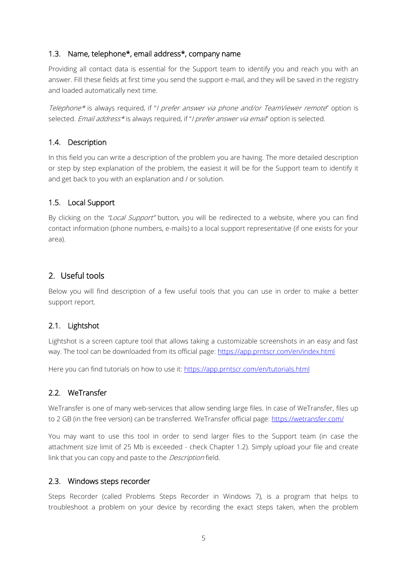# <span id="page-4-0"></span>1.3. Name, telephone\*, email address\*, company name

Providing all contact data is essential for the Support team to identify you and reach you with an answer. Fill these fields at first time you send the support e-mail, and they will be saved in the registry and loaded automatically next time.

Telephone\* is always required, if "I prefer answer via phone and/or TeamViewer remote" option is selected. Email address\* is always required, if "I prefer answer via email" option is selected.

# <span id="page-4-1"></span>1.4. Description

In this field you can write a description of the problem you are having. The more detailed description or step by step explanation of the problem, the easiest it will be for the Support team to identify it and get back to you with an explanation and / or solution.

# <span id="page-4-2"></span>1.5. Local Support

By clicking on the "Local Support" button, you will be redirected to a website, where you can find contact information (phone numbers, e-mails) to a local support representative (if one exists for your area).

# <span id="page-4-3"></span>2. Useful tools

Below you will find description of a few useful tools that you can use in order to make a better support report.

# <span id="page-4-4"></span>2.1. Lightshot

Lightshot is a screen capture tool that allows taking a customizable screenshots in an easy and fast way. The tool can be downloaded from its official page:<https://app.prntscr.com/en/index.html>

Here you can find tutorials on how to use it:<https://app.prntscr.com/en/tutorials.html>

# <span id="page-4-5"></span>2.2. WeTransfer

WeTransfer is one of many web-services that allow sending large files. In case of WeTransfer, files up to 2 GB (in the free version) can be transferred. WeTransfer official page:<https://wetransfer.com/>

You may want to use this tool in order to send larger files to the Support team (in case the attachment size limit of 25 Mb is exceeded - check Chapter [1.2\)](#page-2-2). Simply upload your file and create link that you can copy and paste to the *Description* field.

# <span id="page-4-6"></span>2.3. Windows steps recorder

Steps Recorder (called Problems Steps Recorder in Windows 7), is a program that helps to troubleshoot a problem on your device by recording the exact steps taken, when the problem